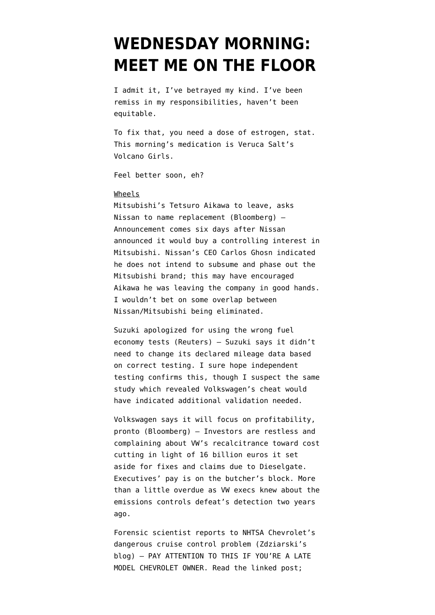# **[WEDNESDAY MORNING:](https://www.emptywheel.net/2016/05/18/wednesday-morning-meet-me-on-the-floor/) [MEET ME ON THE FLOOR](https://www.emptywheel.net/2016/05/18/wednesday-morning-meet-me-on-the-floor/)**

I admit it, I've betrayed my kind. I've been remiss in my responsibilities, haven't been equitable.

To fix that, you need a dose of estrogen, stat. This morning's medication is Veruca Salt's Volcano Girls.

Feel better soon, eh?

## Wheels

[Mitsubishi's Tetsuro Aikawa to leave, asks](http://www.bloomberg.com/news/articles/2016-05-18/mitsubishi-motors-president-resigns-in-wake-of-mileage-scandal) [Nissan to name replacement](http://www.bloomberg.com/news/articles/2016-05-18/mitsubishi-motors-president-resigns-in-wake-of-mileage-scandal) (Bloomberg) — Announcement comes six days after Nissan announced it would buy a controlling interest in Mitsubishi. Nissan's CEO Carlos Ghosn indicated he does not intend to subsume and phase out the Mitsubishi brand; this may have encouraged Aikawa he was leaving the company in good hands. I wouldn't bet on some overlap between Nissan/Mitsubishi being eliminated.

[Suzuki apologized for using the wrong fuel](http://www.reuters.com/article/us-mitsubishimotors-scandal-suzuki-motor-idUSKCN0Y90AK) [economy tests](http://www.reuters.com/article/us-mitsubishimotors-scandal-suzuki-motor-idUSKCN0Y90AK) (Reuters) — Suzuki says it didn't need to change its declared mileage data based on correct testing. I sure hope independent testing confirms this, though I suspect the same study which revealed Volkswagen's cheat would have indicated additional validation needed.

[Volkswagen says it will focus on profitability,](http://www.bloomberg.com/news/articles/2016-05-18/vw-to-lift-profit-review-management-pay-amid-investor-outcry) [pronto](http://www.bloomberg.com/news/articles/2016-05-18/vw-to-lift-profit-review-management-pay-amid-investor-outcry) (Bloomberg) — [Investors](https://en.wikipedia.org/wiki/Chris_Hohn) are restless and complaining about VW's recalcitrance toward cost cutting in light of 16 billion euros it set aside for fixes and claims due to Dieselgate. Executives' pay is on the butcher's block. More than a little overdue as VW execs knew about the emissions controls defeat's detection two years ago.

[Forensic scientist reports to NHTSA Chevrolet's](http://www.zdziarski.com/blog/?p=6082) [dangerous cruise control problem](http://www.zdziarski.com/blog/?p=6082) (Zdziarski's blog) — PAY ATTENTION TO THIS IF YOU'RE A LATE MODEL CHEVROLET OWNER. Read the linked post;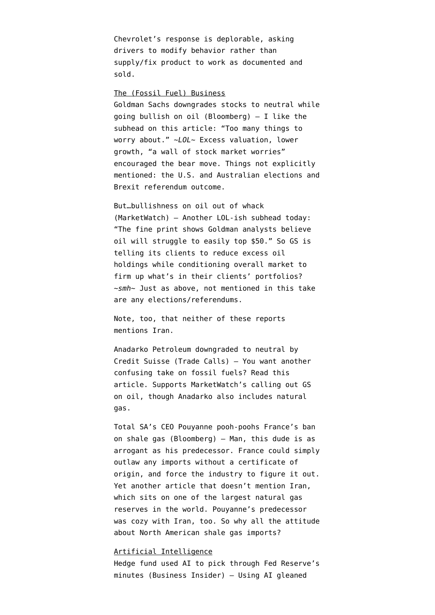Chevrolet's response is deplorable, asking drivers to modify behavior rather than supply/fix product to work as documented and sold.

## The (Fossil Fuel) Business

[Goldman Sachs downgrades stocks to neutral while](http://www.bloomberg.com/news/articles/2016-05-18/goldman-sachs-downgrades-global-equities-recommends-cash) [going bullish on oil](http://www.bloomberg.com/news/articles/2016-05-18/goldman-sachs-downgrades-global-equities-recommends-cash) (Bloomberg) — I like the subhead on this article: "Too many things to worry about." ~*LOL*~ Excess valuation, lower growth, "a wall of stock market worries" encouraged the bear move. Things not explicitly mentioned: the U.S. and Australian elections and Brexit referendum outcome.

But[…bullishness on oil out of whack](http://www.marketwatch.com/story/dont-believe-the-bullish-goldman-headlines-on-oil-2016-05-17) (MarketWatch) — Another LOL-ish subhead today: "The fine print shows Goldman analysts believe oil will struggle to easily top \$50." So GS is telling its clients to reduce excess oil holdings while conditioning overall market to firm up what's in their clients' portfolios? ~*smh*~ Just as above, not mentioned in this take are any elections/referendums.

Note, too, that neither of these reports mentions Iran.

[Anadarko Petroleum downgraded to neutral by](http://www.tradecalls.org/2016/05/credit-suisse-downgrades-anadarko-petroleum-corporation-to-neutral-38654/) [Credit Suisse](http://www.tradecalls.org/2016/05/credit-suisse-downgrades-anadarko-petroleum-corporation-to-neutral-38654/) (Trade Calls) — You want another confusing take on fossil fuels? Read this article. Supports MarketWatch's calling out GS on oil, though Anadarko also includes natural gas.

[Total SA's CEO Pouyanne pooh-poohs France's ban](http://www.bloomberg.com/news/articles/2016-05-18/total-ceo-says-royal-s-proposed-shale-gas-ban-isn-t-workable) [on shale gas](http://www.bloomberg.com/news/articles/2016-05-18/total-ceo-says-royal-s-proposed-shale-gas-ban-isn-t-workable) (Bloomberg) — Man, this dude is as arrogant as [his predecessor](https://en.wikipedia.org/wiki/Christophe_de_Margerie). France could simply outlaw any imports without a certificate of origin, and force the industry to figure it out. Yet another article that doesn't mention Iran, which sits on one of the largest natural gas reserves in the world. Pouyanne's predecessor was cozy with Iran, too. So why all the attitude about North American shale gas imports?

### Artificial Intelligence

[Hedge fund used AI to pick through Fed Reserve's](http://www.businessinsider.com/two-sigma-on-fed-minutes-2016-5) [minutes](http://www.businessinsider.com/two-sigma-on-fed-minutes-2016-5) (Business Insider) — Using AI gleaned